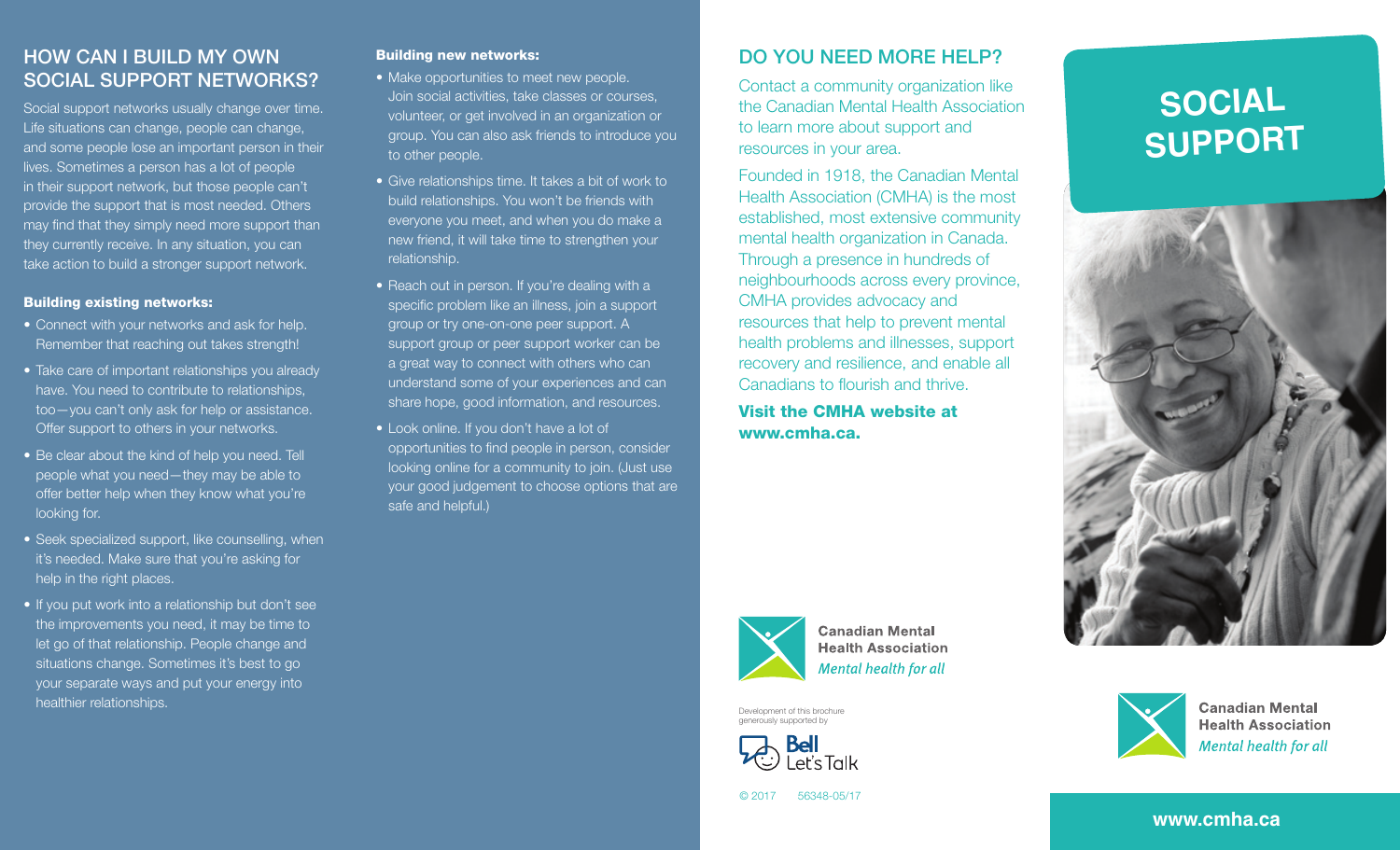## HOW CAN I BUILD MY OWN SOCIAL SUPPORT NETWORKS?

Social support networks usually change over time. Life situations can change, people can change, and some people lose an important person in their lives. Sometimes a person has a lot of people in their support network, but those people can't provide the support that is most needed. Others may find that they simply need more support than they currently receive. In any situation, you can take action to build a stronger support network.

#### Building existing networks:

- Connect with your networks and ask for help. Remember that reaching out takes strength!
- Take care of important relationships you already have. You need to contribute to relationships, too—you can't only ask for help or assistance. Offer support to others in your networks.
- Be clear about the kind of help you need. Tell people what you need—they may be able to offer better help when they know what you're looking for.
- Seek specialized support, like counselling, when it's needed. Make sure that you're asking for help in the right places.
- If you put work into a relationship but don't see the improvements you need, it may be time to let go of that relationship. People change and situations change. Sometimes it's best to go your separate ways and put your energy into healthier relationships.

#### Building new networks:

- Make opportunities to meet new people. Join social activities, take classes or courses, volunteer, or get involved in an organization or group. You can also ask friends to introduce you to other people.
- Give relationships time. It takes a bit of work to build relationships. You won't be friends with everyone you meet, and when you do make a new friend, it will take time to strengthen your relationship.
- Reach out in person. If you're dealing with a specific problem like an illness, join a support group or try one-on-one peer support. A support group or peer support worker can be a great way to connect with others who can understand some of your experiences and can share hope, good information, and resources.
- Look online. If you don't have a lot of opportunities to find people in person, consider looking online for a community to join. (Just use your good judgement to choose options that are safe and helpful.)

#### DO YOU NEED MORE HELP?

Contact a community organization like the Canadian Mental Health Association to learn more about support and resources in your area.

Founded in 1918, the Canadian Mental Health Association (CMHA) is the most established, most extensive community mental health organization in Canada. Through a presence in hundreds of neighbourhoods across every province, CMHA provides advocacy and resources that help to prevent mental health problems and illnesses, support recovery and resilience, and enable all Canadians to flourish and thrive.

Visit the CMHA website at www.cmha.ca.







**Canadian Mental Health Association Mental health for all** 

Development of this brochure generously supported by







© 2017 56348-05/17